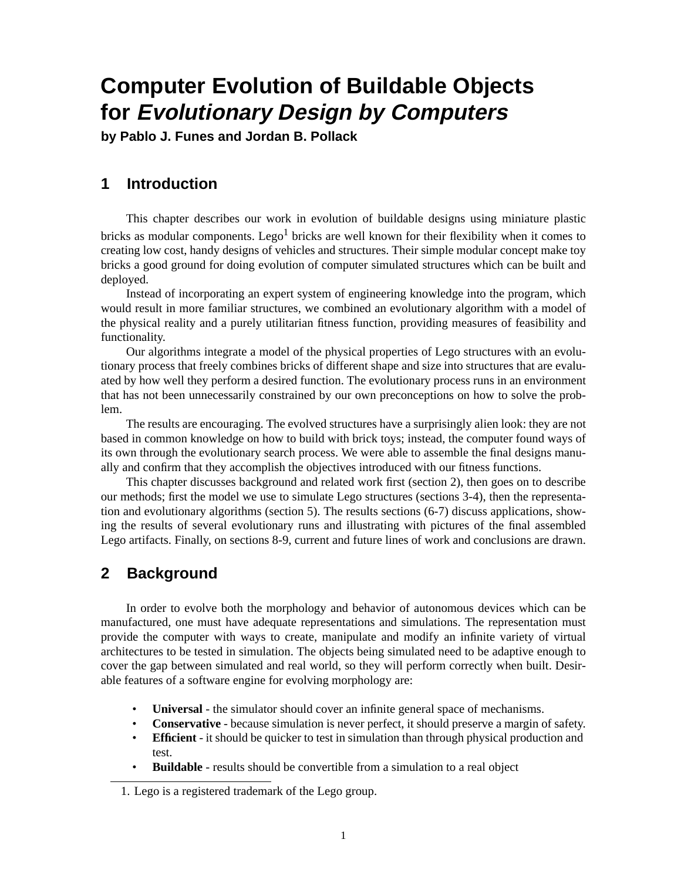# **Computer Evolution of Buildable Objects for Evolutionary Design by Computers**

**by Pablo J. Funes and Jordan B. Pollack**

# **1 Introduction**

This chapter describes our work in evolution of buildable designs using miniature plastic bricks as modular components. Lego<sup>1</sup> bricks are well known for their flexibility when it comes to creating low cost, handy designs of vehicles and structures. Their simple modular concept make toy bricks a good ground for doing evolution of computer simulated structures which can be built and deployed.

Instead of incorporating an expert system of engineering knowledge into the program, which would result in more familiar structures, we combined an evolutionary algorithm with a model of the physical reality and a purely utilitarian fitness function, providing measures of feasibility and functionality.

Our algorithms integrate a model of the physical properties of Lego structures with an evolutionary process that freely combines bricks of different shape and size into structures that are evaluated by how well they perform a desired function. The evolutionary process runs in an environment that has not been unnecessarily constrained by our own preconceptions on how to solve the problem.

The results are encouraging. The evolved structures have a surprisingly alien look: they are not based in common knowledge on how to build with brick toys; instead, the computer found ways of its own through the evolutionary search process. We were able to assemble the final designs manually and confirm that they accomplish the objectives introduced with our fitness functions.

This chapter discusses background and related work first (section 2), then goes on to describe our methods; first the model we use to simulate Lego structures (sections 3-4), then the representation and evolutionary algorithms (section 5). The results sections (6-7) discuss applications, showing the results of several evolutionary runs and illustrating with pictures of the final assembled Lego artifacts. Finally, on sections 8-9, current and future lines of work and conclusions are drawn.

# **2 Background**

In order to evolve both the morphology and behavior of autonomous devices which can be manufactured, one must have adequate representations and simulations. The representation must provide the computer with ways to create, manipulate and modify an infinite variety of virtual architectures to be tested in simulation. The objects being simulated need to be adaptive enough to cover the gap between simulated and real world, so they will perform correctly when built. Desirable features of a software engine for evolving morphology are:

- **Universal** the simulator should cover an infinite general space of mechanisms.
- **Conservative** because simulation is never perfect, it should preserve a margin of safety.
- **Efficient** it should be quicker to test in simulation than through physical production and test.
- **Buildable** results should be convertible from a simulation to a real object

<sup>1.</sup> Lego is a registered trademark of the Lego group.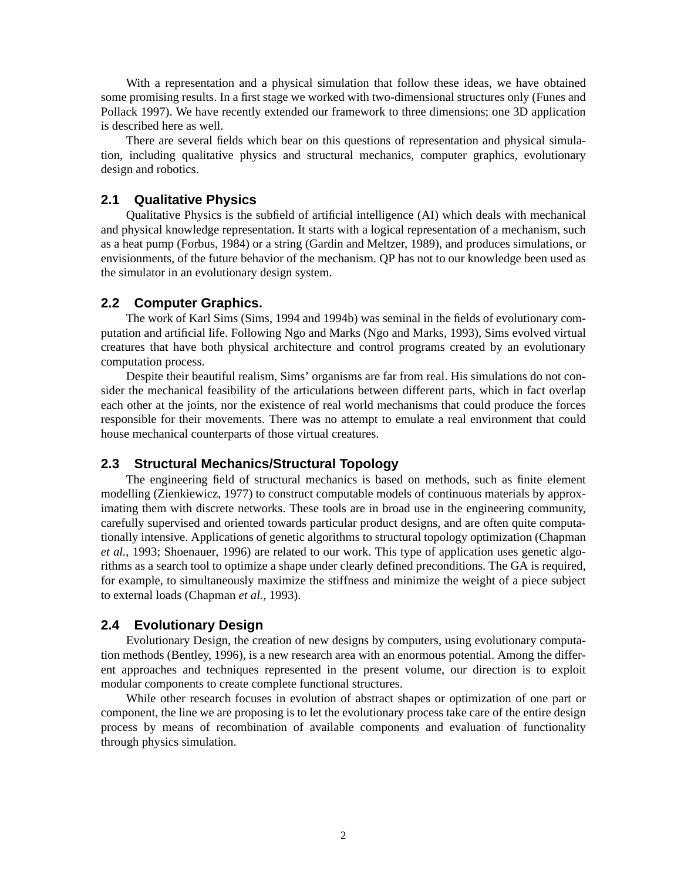With a representation and a physical simulation that follow these ideas, we have obtained some promising results. In a first stage we worked with two-dimensional structures only (Funes and Pollack 1997). We have recently extended our framework to three dimensions; one 3D application is described here as well.

There are several fields which bear on this questions of representation and physical simulation, including qualitative physics and structural mechanics, computer graphics, evolutionary design and robotics.

#### **2.1 Qualitative Physics**

Qualitative Physics is the subfield of artificial intelligence (AI) which deals with mechanical and physical knowledge representation. It starts with a logical representation of a mechanism, such as a heat pump (Forbus, 1984) or a string (Gardin and Meltzer, 1989), and produces simulations, or envisionments, of the future behavior of the mechanism. QP has not to our knowledge been used as the simulator in an evolutionary design system.

#### **2.2 Computer Graphics.**

The work of Karl Sims (Sims, 1994 and 1994b) was seminal in the fields of evolutionary computation and artificial life. Following Ngo and Marks (Ngo and Marks, 1993), Sims evolved virtual creatures that have both physical architecture and control programs created by an evolutionary computation process.

Despite their beautiful realism, Sims' organisms are far from real. His simulations do not consider the mechanical feasibility of the articulations between different parts, which in fact overlap each other at the joints, nor the existence of real world mechanisms that could produce the forces responsible for their movements. There was no attempt to emulate a real environment that could house mechanical counterparts of those virtual creatures.

#### **2.3 Structural Mechanics/Structural Topology**

The engineering field of structural mechanics is based on methods, such as finite element modelling (Zienkiewicz, 1977) to construct computable models of continuous materials by approximating them with discrete networks. These tools are in broad use in the engineering community, carefully supervised and oriented towards particular product designs, and are often quite computationally intensive. Applications of genetic algorithms to structural topology optimization (Chapman *et al.*, 1993; Shoenauer, 1996) are related to our work. This type of application uses genetic algorithms as a search tool to optimize a shape under clearly defined preconditions. The GA is required, for example, to simultaneously maximize the stiffness and minimize the weight of a piece subject to external loads (Chapman *et al.,* 1993).

#### **2.4 Evolutionary Design**

Evolutionary Design, the creation of new designs by computers, using evolutionary computation methods (Bentley, 1996), is a new research area with an enormous potential. Among the different approaches and techniques represented in the present volume, our direction is to exploit modular components to create complete functional structures.

While other research focuses in evolution of abstract shapes or optimization of one part or component, the line we are proposing is to let the evolutionary process take care of the entire design process by means of recombination of available components and evaluation of functionality through physics simulation.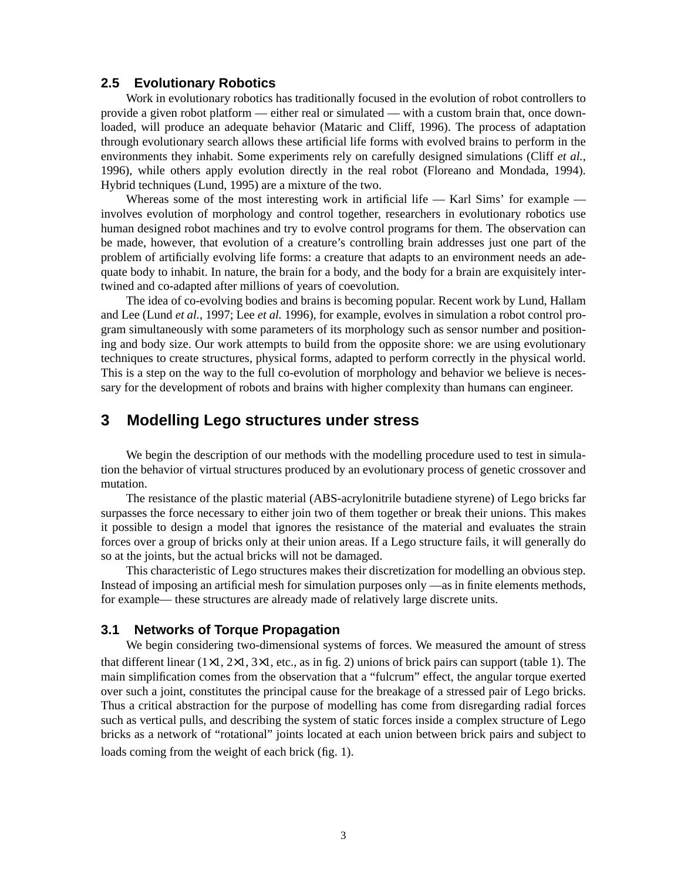#### **2.5 Evolutionary Robotics**

Work in evolutionary robotics has traditionally focused in the evolution of robot controllers to provide a given robot platform — either real or simulated — with a custom brain that, once downloaded, will produce an adequate behavior (Mataric and Cliff, 1996). The process of adaptation through evolutionary search allows these artificial life forms with evolved brains to perform in the environments they inhabit. Some experiments rely on carefully designed simulations (Cliff *et al.*, 1996), while others apply evolution directly in the real robot (Floreano and Mondada, 1994). Hybrid techniques (Lund, 1995) are a mixture of the two.

Whereas some of the most interesting work in artificial life — Karl Sims' for example involves evolution of morphology and control together, researchers in evolutionary robotics use human designed robot machines and try to evolve control programs for them. The observation can be made, however, that evolution of a creature's controlling brain addresses just one part of the problem of artificially evolving life forms: a creature that adapts to an environment needs an adequate body to inhabit. In nature, the brain for a body, and the body for a brain are exquisitely intertwined and co-adapted after millions of years of coevolution.

The idea of co-evolving bodies and brains is becoming popular. Recent work by Lund, Hallam and Lee (Lund *et al.*, 1997; Lee *et al.* 1996), for example, evolves in simulation a robot control program simultaneously with some parameters of its morphology such as sensor number and positioning and body size. Our work attempts to build from the opposite shore: we are using evolutionary techniques to create structures, physical forms, adapted to perform correctly in the physical world. This is a step on the way to the full co-evolution of morphology and behavior we believe is necessary for the development of robots and brains with higher complexity than humans can engineer.

### **3 Modelling Lego structures under stress**

We begin the description of our methods with the modelling procedure used to test in simulation the behavior of virtual structures produced by an evolutionary process of genetic crossover and mutation.

The resistance of the plastic material (ABS-acrylonitrile butadiene styrene) of Lego bricks far surpasses the force necessary to either join two of them together or break their unions. This makes it possible to design a model that ignores the resistance of the material and evaluates the strain forces over a group of bricks only at their union areas. If a Lego structure fails, it will generally do so at the joints, but the actual bricks will not be damaged.

This characteristic of Lego structures makes their discretization for modelling an obvious step. Instead of imposing an artificial mesh for simulation purposes only —as in finite elements methods, for example— these structures are already made of relatively large discrete units.

#### **3.1 Networks of Torque Propagation**

We begin considering two-dimensional systems of forces. We measured the amount of stress that different linear  $(1\times1, 2\times1, 3\times1,$  etc., as in fig. 2) unions of brick pairs can support (table 1). The main simplification comes from the observation that a "fulcrum" effect, the angular torque exerted over such a joint, constitutes the principal cause for the breakage of a stressed pair of Lego bricks. Thus a critical abstraction for the purpose of modelling has come from disregarding radial forces such as vertical pulls, and describing the system of static forces inside a complex structure of Lego bricks as a network of "rotational" joints located at each union between brick pairs and subject to loads coming from the weight of each brick (fig. 1).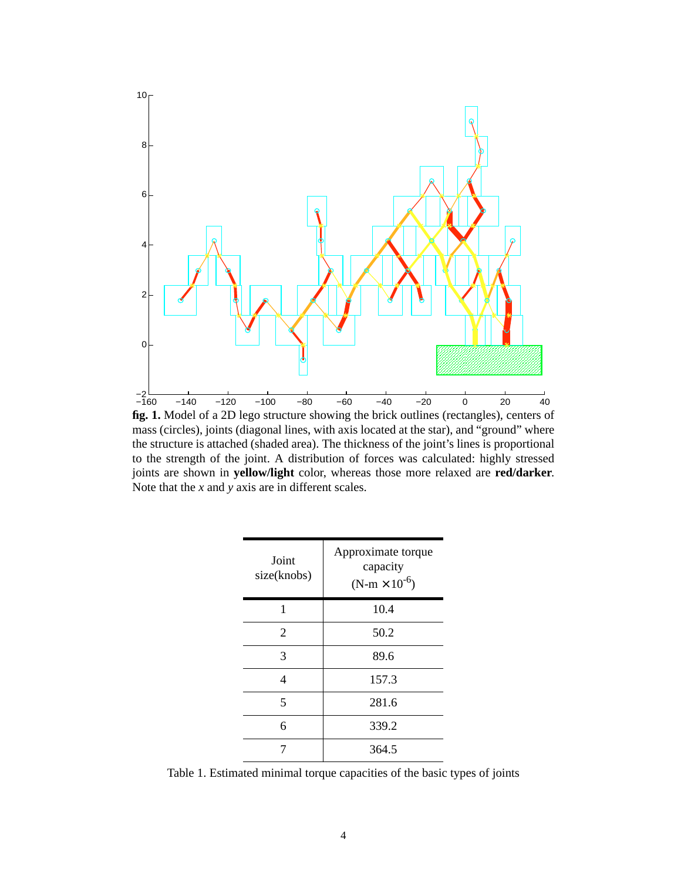

**fig. 1.** Model of a 2D lego structure showing the brick outlines (rectangles), centers of mass (circles), joints (diagonal lines, with axis located at the star), and "ground" where the structure is attached (shaded area). The thickness of the joint's lines is proportional to the strength of the joint. A distribution of forces was calculated: highly stressed joints are shown in **yellow/light** color, whereas those more relaxed are **red/darker**. Note that the *x* and *y* axis are in different scales.

| Joint<br>size(knobs) | Approximate torque<br>capacity<br>$(N-m \times 10^{-6})$ |
|----------------------|----------------------------------------------------------|
| 1                    | 10.4                                                     |
| $\mathfrak{D}$       | 50.2                                                     |
| 3                    | 89.6                                                     |
| 4                    | 157.3                                                    |
| 5                    | 281.6                                                    |
| 6                    | 339.2                                                    |
|                      | 364.5                                                    |

Table 1. Estimated minimal torque capacities of the basic types of joints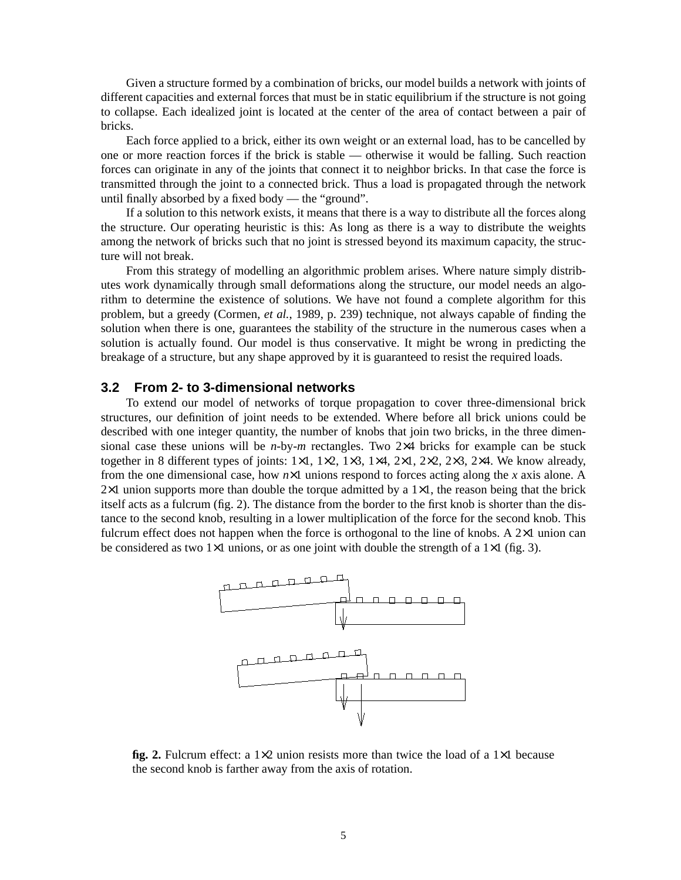Given a structure formed by a combination of bricks, our model builds a network with joints of different capacities and external forces that must be in static equilibrium if the structure is not going to collapse. Each idealized joint is located at the center of the area of contact between a pair of bricks.

Each force applied to a brick, either its own weight or an external load, has to be cancelled by one or more reaction forces if the brick is stable — otherwise it would be falling. Such reaction forces can originate in any of the joints that connect it to neighbor bricks. In that case the force is transmitted through the joint to a connected brick. Thus a load is propagated through the network until finally absorbed by a fixed body — the "ground".

If a solution to this network exists, it means that there is a way to distribute all the forces along the structure. Our operating heuristic is this: As long as there is a way to distribute the weights among the network of bricks such that no joint is stressed beyond its maximum capacity, the structure will not break.

From this strategy of modelling an algorithmic problem arises. Where nature simply distributes work dynamically through small deformations along the structure, our model needs an algorithm to determine the existence of solutions. We have not found a complete algorithm for this problem, but a greedy (Cormen, *et al.*, 1989, p. 239) technique, not always capable of finding the solution when there is one, guarantees the stability of the structure in the numerous cases when a solution is actually found. Our model is thus conservative. It might be wrong in predicting the breakage of a structure, but any shape approved by it is guaranteed to resist the required loads.

#### **3.2 From 2- to 3-dimensional networks**

To extend our model of networks of torque propagation to cover three-dimensional brick structures, our definition of joint needs to be extended. Where before all brick unions could be described with one integer quantity, the number of knobs that join two bricks, in the three dimensional case these unions will be *n*-by-*m* rectangles. Two 2×4 bricks for example can be stuck together in 8 different types of joints:  $1\times1$ ,  $1\times2$ ,  $1\times3$ ,  $1\times4$ ,  $2\times1$ ,  $2\times2$ ,  $2\times3$ ,  $2\times4$ . We know already, from the one dimensional case, how *n*×1 unions respond to forces acting along the *x* axis alone. A  $2\times1$  union supports more than double the torque admitted by a  $1\times1$ , the reason being that the brick itself acts as a fulcrum (fig. 2). The distance from the border to the first knob is shorter than the distance to the second knob, resulting in a lower multiplication of the force for the second knob. This fulcrum effect does not happen when the force is orthogonal to the line of knobs. A  $2\times1$  union can be considered as two  $1\times1$  unions, or as one joint with double the strength of a  $1\times1$  (fig. 3).



**fig. 2.** Fulcrum effect: a  $1\times2$  union resists more than twice the load of a  $1\times1$  because the second knob is farther away from the axis of rotation.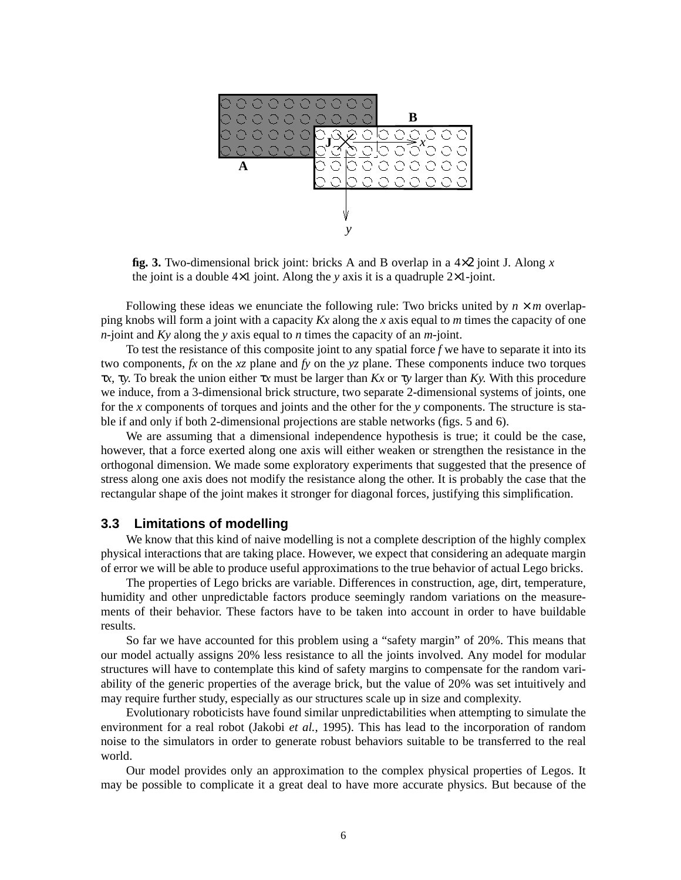

**fig. 3.** Two-dimensional brick joint: bricks A and B overlap in a 4×2 joint J. Along *x* the joint is a double  $4\times1$  joint. Along the *y* axis it is a quadruple  $2\times1$ -joint.

Following these ideas we enunciate the following rule: Two bricks united by  $n \times m$  overlapping knobs will form a joint with a capacity *Kx* along the *x* axis equal to *m* times the capacity of one *n*-joint and *Ky* along the *y* axis equal to *n* times the capacity of an *m*-joint.

To test the resistance of this composite joint to any spatial force *f* we have to separate it into its two components, *fx* on the *xz* plane and *fy* on the *yz* plane. These components induce two torques τ*x,* τ*y*. To break the union either τ*x* must be larger than *Kx* or τ*y* larger than *Ky.* With this procedure we induce, from a 3-dimensional brick structure, two separate 2-dimensional systems of joints, one for the *x* components of torques and joints and the other for the *y* components. The structure is stable if and only if both 2-dimensional projections are stable networks (figs. 5 and 6).

We are assuming that a dimensional independence hypothesis is true; it could be the case, however, that a force exerted along one axis will either weaken or strengthen the resistance in the orthogonal dimension. We made some exploratory experiments that suggested that the presence of stress along one axis does not modify the resistance along the other. It is probably the case that the rectangular shape of the joint makes it stronger for diagonal forces, justifying this simplification.

#### **3.3 Limitations of modelling**

We know that this kind of naive modelling is not a complete description of the highly complex physical interactions that are taking place. However, we expect that considering an adequate margin of error we will be able to produce useful approximations to the true behavior of actual Lego bricks.

The properties of Lego bricks are variable. Differences in construction, age, dirt, temperature, humidity and other unpredictable factors produce seemingly random variations on the measurements of their behavior. These factors have to be taken into account in order to have buildable results.

So far we have accounted for this problem using a "safety margin" of 20%. This means that our model actually assigns 20% less resistance to all the joints involved. Any model for modular structures will have to contemplate this kind of safety margins to compensate for the random variability of the generic properties of the average brick, but the value of 20% was set intuitively and may require further study, especially as our structures scale up in size and complexity.

Evolutionary roboticists have found similar unpredictabilities when attempting to simulate the environment for a real robot (Jakobi *et al.*, 1995). This has lead to the incorporation of random noise to the simulators in order to generate robust behaviors suitable to be transferred to the real world.

Our model provides only an approximation to the complex physical properties of Legos. It may be possible to complicate it a great deal to have more accurate physics. But because of the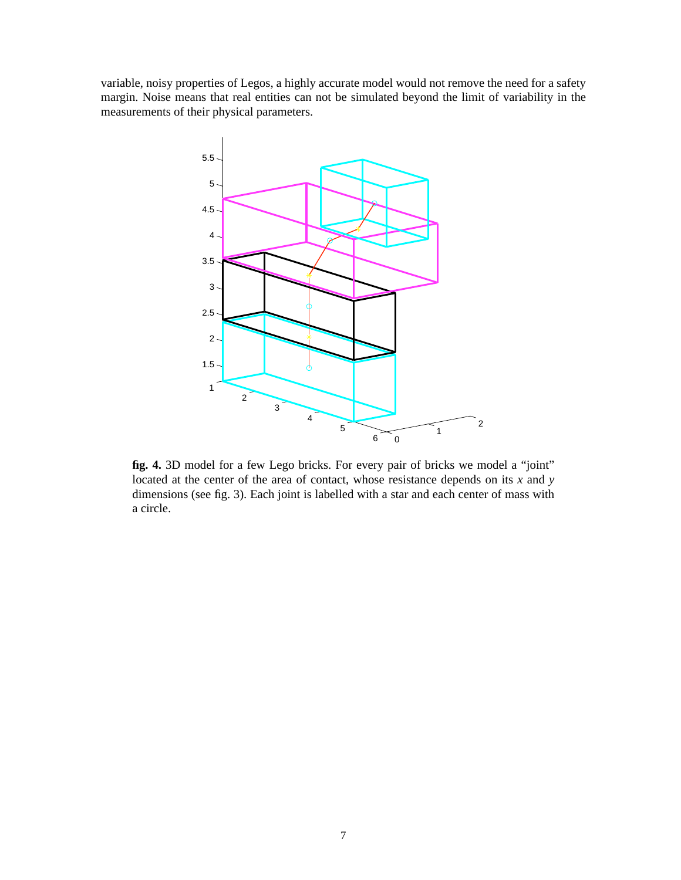variable, noisy properties of Legos, a highly accurate model would not remove the need for a safety margin. Noise means that real entities can not be simulated beyond the limit of variability in the measurements of their physical parameters.



**fig. 4.** 3D model for a few Lego bricks. For every pair of bricks we model a "joint" located at the center of the area of contact, whose resistance depends on its *x* and *y* dimensions (see fig. 3). Each joint is labelled with a star and each center of mass with a circle.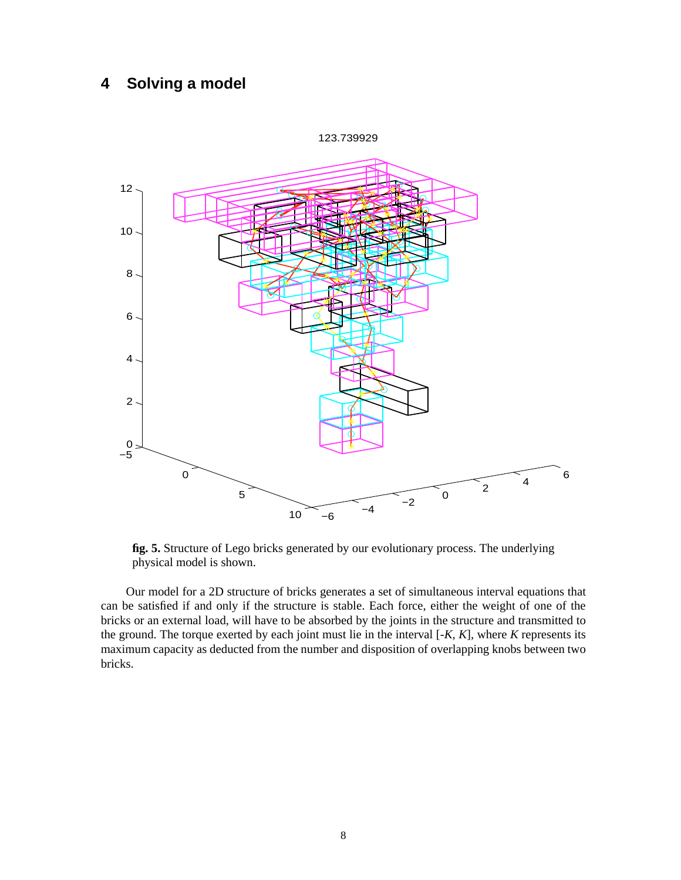# **4 Solving a model**



**fig. 5.** Structure of Lego bricks generated by our evolutionary process. The underlying physical model is shown.

Our model for a 2D structure of bricks generates a set of simultaneous interval equations that can be satisfied if and only if the structure is stable. Each force, either the weight of one of the bricks or an external load, will have to be absorbed by the joints in the structure and transmitted to the ground. The torque exerted by each joint must lie in the interval [-*K, K*], where *K* represents its maximum capacity as deducted from the number and disposition of overlapping knobs between two bricks.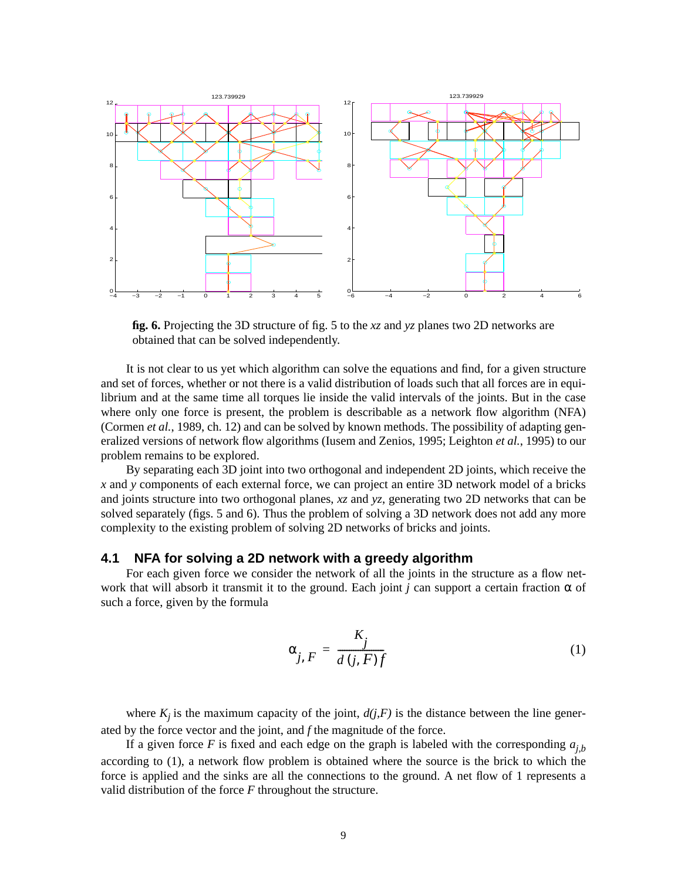

**fig. 6.** Projecting the 3D structure of fig. 5 to the *xz* and *yz* planes two 2D networks are obtained that can be solved independently.

It is not clear to us yet which algorithm can solve the equations and find, for a given structure and set of forces, whether or not there is a valid distribution of loads such that all forces are in equilibrium and at the same time all torques lie inside the valid intervals of the joints. But in the case where only one force is present, the problem is describable as a network flow algorithm (NFA) (Cormen *et al.*, 1989, ch. 12) and can be solved by known methods. The possibility of adapting generalized versions of network flow algorithms (Iusem and Zenios, 1995; Leighton *et al.*, 1995) to our problem remains to be explored.

By separating each 3D joint into two orthogonal and independent 2D joints, which receive the *x* and *y* components of each external force, we can project an entire 3D network model of a bricks and joints structure into two orthogonal planes, *xz* and *yz*, generating two 2D networks that can be solved separately (figs. 5 and 6). Thus the problem of solving a 3D network does not add any more complexity to the existing problem of solving 2D networks of bricks and joints.

#### **4.1 NFA for solving a 2D network with a greedy algorithm**

For each given force we consider the network of all the joints in the structure as a flow network that will absorb it transmit it to the ground. Each joint *j* can support a certain fraction  $\alpha$  of such a force, given by the formula

$$
\alpha_{j, F} = \frac{K_j}{d(j, F)f}
$$
 (1)

where  $K_j$  is the maximum capacity of the joint,  $d(j, F)$  is the distance between the line generated by the force vector and the joint, and *f* the magnitude of the force.

If a given force *F* is fixed and each edge on the graph is labeled with the corresponding  $a_{i,b}$ according to (1), a network flow problem is obtained where the source is the brick to which the force is applied and the sinks are all the connections to the ground. A net flow of 1 represents a valid distribution of the force *F* throughout the structure.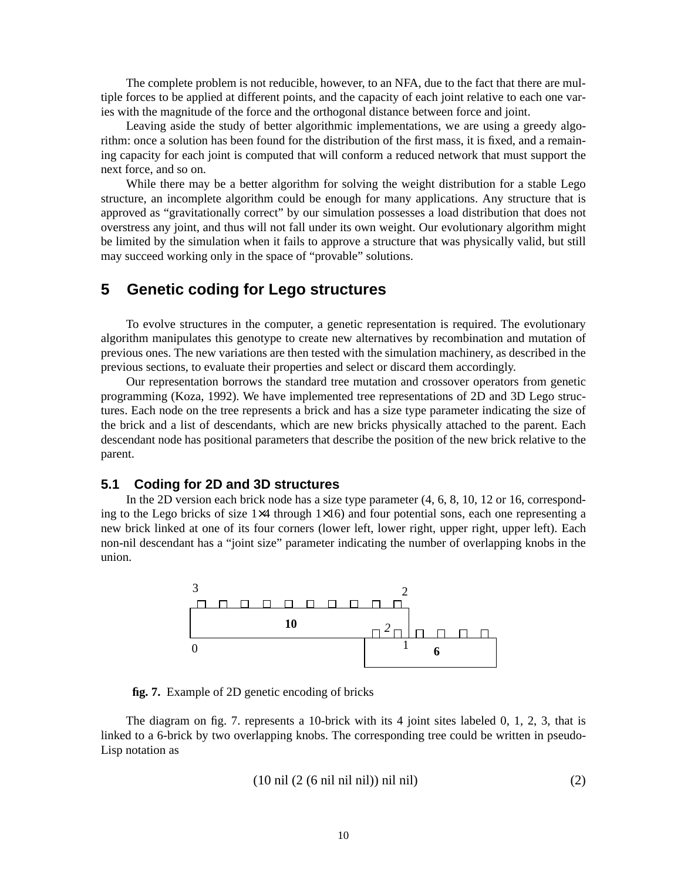The complete problem is not reducible, however, to an NFA, due to the fact that there are multiple forces to be applied at different points, and the capacity of each joint relative to each one varies with the magnitude of the force and the orthogonal distance between force and joint.

Leaving aside the study of better algorithmic implementations, we are using a greedy algorithm: once a solution has been found for the distribution of the first mass, it is fixed, and a remaining capacity for each joint is computed that will conform a reduced network that must support the next force, and so on.

While there may be a better algorithm for solving the weight distribution for a stable Lego structure, an incomplete algorithm could be enough for many applications. Any structure that is approved as "gravitationally correct" by our simulation possesses a load distribution that does not overstress any joint, and thus will not fall under its own weight. Our evolutionary algorithm might be limited by the simulation when it fails to approve a structure that was physically valid, but still may succeed working only in the space of "provable" solutions.

# **5 Genetic coding for Lego structures**

To evolve structures in the computer, a genetic representation is required. The evolutionary algorithm manipulates this genotype to create new alternatives by recombination and mutation of previous ones. The new variations are then tested with the simulation machinery, as described in the previous sections, to evaluate their properties and select or discard them accordingly.

Our representation borrows the standard tree mutation and crossover operators from genetic programming (Koza, 1992). We have implemented tree representations of 2D and 3D Lego structures. Each node on the tree represents a brick and has a size type parameter indicating the size of the brick and a list of descendants, which are new bricks physically attached to the parent. Each descendant node has positional parameters that describe the position of the new brick relative to the parent.

#### **5.1 Coding for 2D and 3D structures**

In the 2D version each brick node has a size type parameter (4, 6, 8, 10, 12 or 16, corresponding to the Lego bricks of size  $1\times4$  through  $1\times16$ ) and four potential sons, each one representing a new brick linked at one of its four corners (lower left, lower right, upper right, upper left). Each non-nil descendant has a "joint size" parameter indicating the number of overlapping knobs in the union.



**fig. 7.** Example of 2D genetic encoding of bricks

The diagram on fig. 7. represents a 10-brick with its 4 joint sites labeled 0, 1, 2, 3, that is linked to a 6-brick by two overlapping knobs. The corresponding tree could be written in pseudo-Lisp notation as

$$
(10 \text{ nil } (2 (6 \text{ nil nil nil})) \text{ nil nil})
$$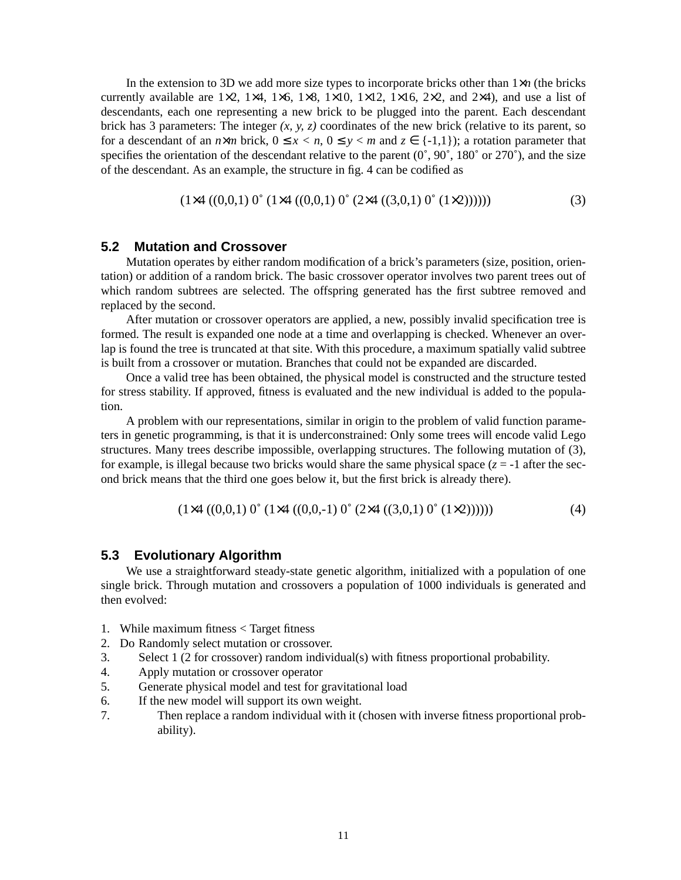In the extension to 3D we add more size types to incorporate bricks other than 1×*n* (the bricks currently available are 1×2, 1×4, 1×6, 1×8, 1×10, 1×12, 1×16, 2×2, and 2×4), and use a list of descendants, each one representing a new brick to be plugged into the parent. Each descendant brick has 3 parameters: The integer *(x, y, z)* coordinates of the new brick (relative to its parent, so for a descendant of an  $n \times m$  brick,  $0 \le x < n$ ,  $0 \le y < m$  and  $z \in \{-1,1\}$ ; a rotation parameter that specifies the orientation of the descendant relative to the parent  $(0^\circ, 90^\circ, 180^\circ)$  or  $(270^\circ)$ , and the size of the descendant. As an example, the structure in fig. 4 can be codified as

$$
(1 \times 4 ((0,0,1) 0° (1 \times 4 ((0,0,1) 0° (2 \times 4 ((3,0,1) 0° (1 \times 2))))))
$$
\n
$$
(3)
$$

### **5.2 Mutation and Crossover**

Mutation operates by either random modification of a brick's parameters (size, position, orientation) or addition of a random brick. The basic crossover operator involves two parent trees out of which random subtrees are selected. The offspring generated has the first subtree removed and replaced by the second.

After mutation or crossover operators are applied, a new, possibly invalid specification tree is formed. The result is expanded one node at a time and overlapping is checked. Whenever an overlap is found the tree is truncated at that site. With this procedure, a maximum spatially valid subtree is built from a crossover or mutation. Branches that could not be expanded are discarded.

Once a valid tree has been obtained, the physical model is constructed and the structure tested for stress stability. If approved, fitness is evaluated and the new individual is added to the population.

A problem with our representations, similar in origin to the problem of valid function parameters in genetic programming, is that it is underconstrained: Only some trees will encode valid Lego structures. Many trees describe impossible, overlapping structures. The following mutation of (3), for example, is illegal because two bricks would share the same physical space  $(z = -1)$  after the second brick means that the third one goes below it, but the first brick is already there).

$$
(1 \times 4 ((0,0,1) 0° (1 \times 4 ((0,0,-1) 0° (2 \times 4 ((3,0,1) 0° (1 \times 2))))))
$$
\n
$$
(4)
$$

### **5.3 Evolutionary Algorithm**

We use a straightforward steady-state genetic algorithm, initialized with a population of one single brick. Through mutation and crossovers a population of 1000 individuals is generated and then evolved:

- 1. While maximum fitness < Target fitness
- 2. Do Randomly select mutation or crossover.
- 3. Select 1 (2 for crossover) random individual(s) with fitness proportional probability.
- 4. Apply mutation or crossover operator
- 5. Generate physical model and test for gravitational load
- 6. If the new model will support its own weight.
- 7. Then replace a random individual with it (chosen with inverse fitness proportional probability).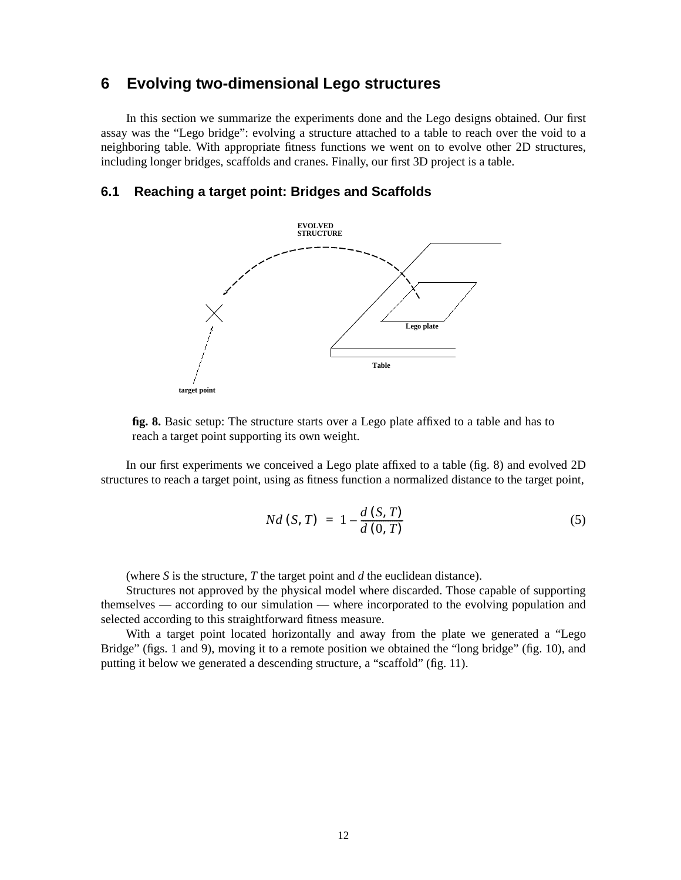# **6 Evolving two-dimensional Lego structures**

In this section we summarize the experiments done and the Lego designs obtained. Our first assay was the "Lego bridge": evolving a structure attached to a table to reach over the void to a neighboring table. With appropriate fitness functions we went on to evolve other 2D structures, including longer bridges, scaffolds and cranes. Finally, our first 3D project is a table.

### **6.1 Reaching a target point: Bridges and Scaffolds**



**fig. 8.** Basic setup: The structure starts over a Lego plate affixed to a table and has to reach a target point supporting its own weight.

In our first experiments we conceived a Lego plate affixed to a table (fig. 8) and evolved 2D structures to reach a target point, using as fitness function a normalized distance to the target point,

$$
Nd(S, T) = 1 - \frac{d(S, T)}{d(0, T)}
$$
\n(5)

(where *S* is the structure, *T* the target point and *d* the euclidean distance).

Structures not approved by the physical model where discarded. Those capable of supporting themselves — according to our simulation — where incorporated to the evolving population and selected according to this straightforward fitness measure.

With a target point located horizontally and away from the plate we generated a "Lego Bridge" (figs. 1 and 9), moving it to a remote position we obtained the "long bridge" (fig. 10), and putting it below we generated a descending structure, a "scaffold" (fig. 11).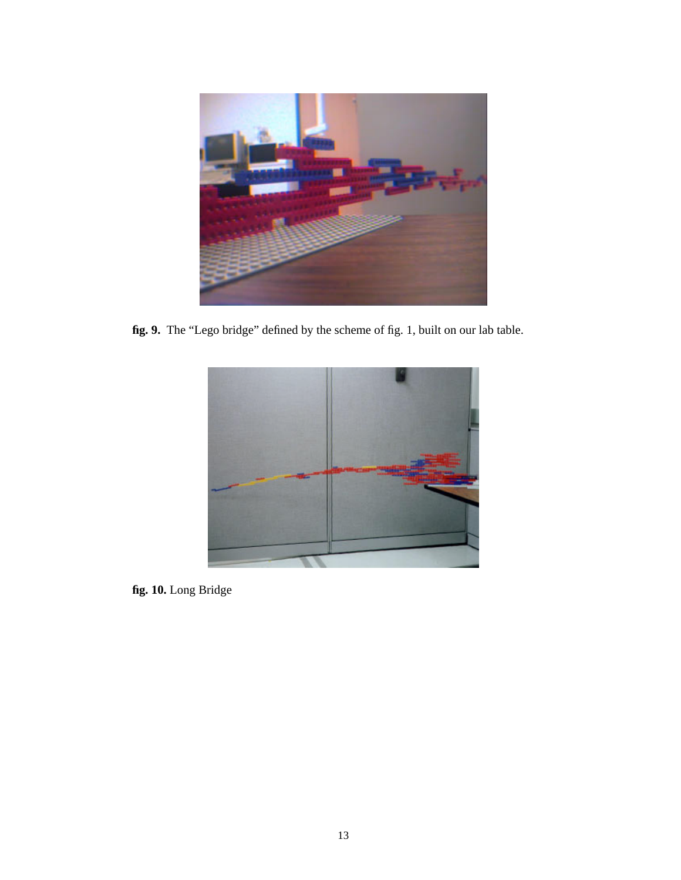

**fig. 9.** The "Lego bridge" defined by the scheme of fig. 1, built on our lab table.



**fig. 10.** Long Bridge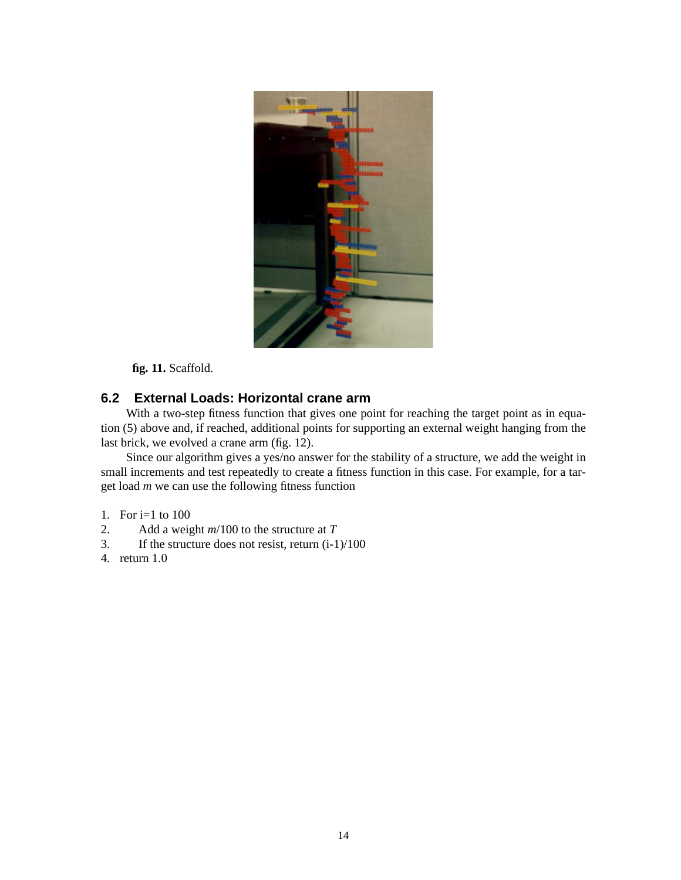

**fig. 11.** Scaffold.

### **6.2 External Loads: Horizontal crane arm**

With a two-step fitness function that gives one point for reaching the target point as in equation (5) above and, if reached, additional points for supporting an external weight hanging from the last brick, we evolved a crane arm (fig. 12).

Since our algorithm gives a yes/no answer for the stability of a structure, we add the weight in small increments and test repeatedly to create a fitness function in this case. For example, for a target load *m* we can use the following fitness function

1. For  $i=1$  to 100

- 2. Add a weight *m*/100 to the structure at *T*
- 3. If the structure does not resist, return (i-1)/100
- 4. return 1.0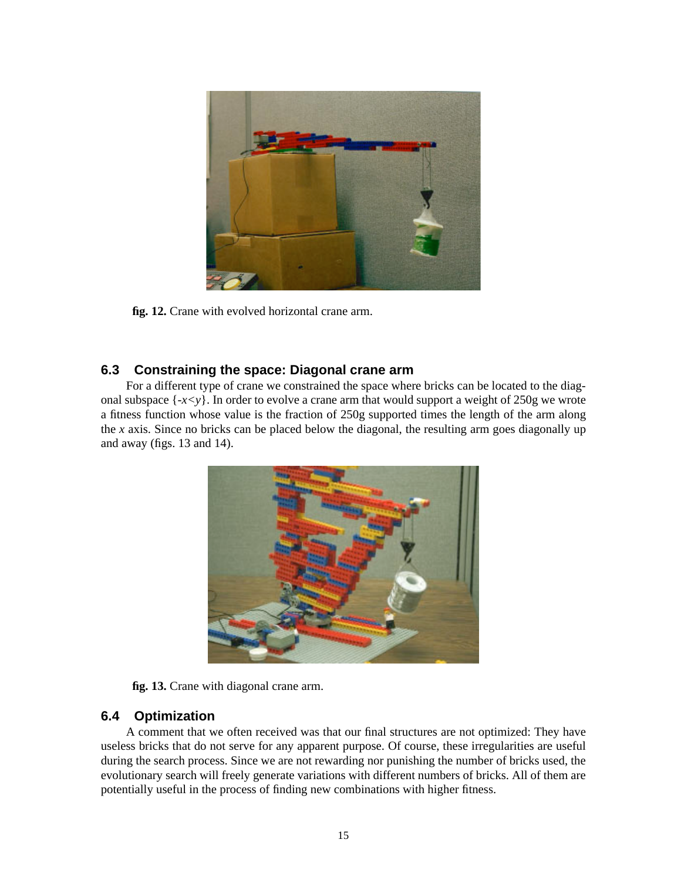

**fig. 12.** Crane with evolved horizontal crane arm.

# **6.3 Constraining the space: Diagonal crane arm**

For a different type of crane we constrained the space where bricks can be located to the diagonal subspace  $\{-x \leq y\}$ . In order to evolve a crane arm that would support a weight of 250g we wrote a fitness function whose value is the fraction of 250g supported times the length of the arm along the *x* axis. Since no bricks can be placed below the diagonal, the resulting arm goes diagonally up and away (figs. 13 and 14).



**fig. 13.** Crane with diagonal crane arm.

### **6.4 Optimization**

A comment that we often received was that our final structures are not optimized: They have useless bricks that do not serve for any apparent purpose. Of course, these irregularities are useful during the search process. Since we are not rewarding nor punishing the number of bricks used, the evolutionary search will freely generate variations with different numbers of bricks. All of them are potentially useful in the process of finding new combinations with higher fitness.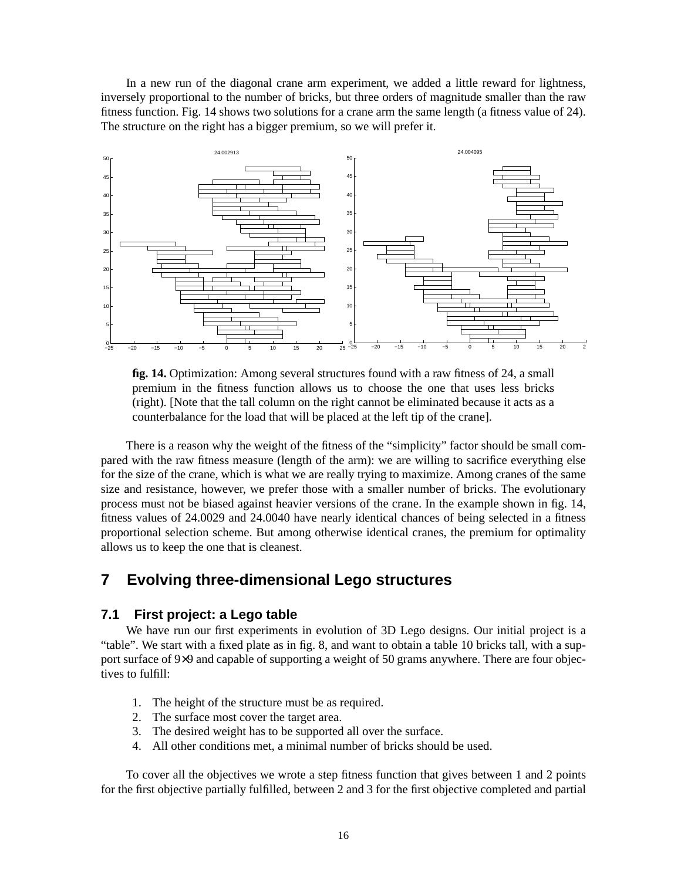In a new run of the diagonal crane arm experiment, we added a little reward for lightness, inversely proportional to the number of bricks, but three orders of magnitude smaller than the raw fitness function. Fig. 14 shows two solutions for a crane arm the same length (a fitness value of 24). The structure on the right has a bigger premium, so we will prefer it.





There is a reason why the weight of the fitness of the "simplicity" factor should be small compared with the raw fitness measure (length of the arm): we are willing to sacrifice everything else for the size of the crane, which is what we are really trying to maximize. Among cranes of the same size and resistance, however, we prefer those with a smaller number of bricks. The evolutionary process must not be biased against heavier versions of the crane. In the example shown in fig. 14, fitness values of 24.0029 and 24.0040 have nearly identical chances of being selected in a fitness proportional selection scheme. But among otherwise identical cranes, the premium for optimality allows us to keep the one that is cleanest.

# **7 Evolving three-dimensional Lego structures**

#### **7.1 First project: a Lego table**

We have run our first experiments in evolution of 3D Lego designs. Our initial project is a "table". We start with a fixed plate as in fig. 8, and want to obtain a table 10 bricks tall, with a support surface of 9×9 and capable of supporting a weight of 50 grams anywhere. There are four objectives to fulfill:

- 1. The height of the structure must be as required.
- 2. The surface most cover the target area.
- 3. The desired weight has to be supported all over the surface.
- 4. All other conditions met, a minimal number of bricks should be used.

To cover all the objectives we wrote a step fitness function that gives between 1 and 2 points for the first objective partially fulfilled, between 2 and 3 for the first objective completed and partial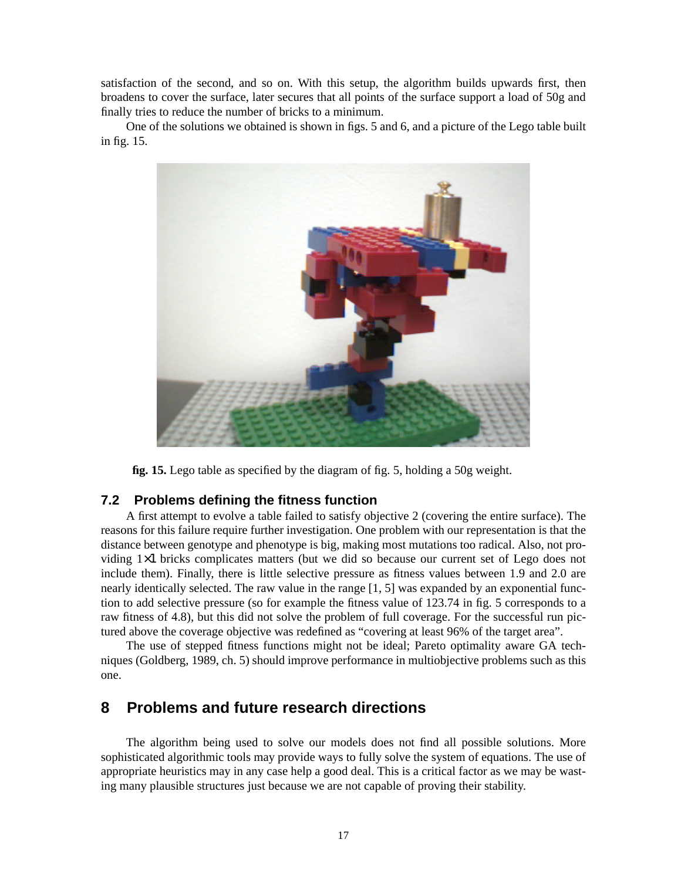satisfaction of the second, and so on. With this setup, the algorithm builds upwards first, then broadens to cover the surface, later secures that all points of the surface support a load of 50g and finally tries to reduce the number of bricks to a minimum.

One of the solutions we obtained is shown in figs. 5 and 6, and a picture of the Lego table built in fig. 15.



**fig. 15.** Lego table as specified by the diagram of fig. 5, holding a 50g weight.

#### **7.2 Problems defining the fitness function**

A first attempt to evolve a table failed to satisfy objective 2 (covering the entire surface). The reasons for this failure require further investigation. One problem with our representation is that the distance between genotype and phenotype is big, making most mutations too radical. Also, not providing 1×1 bricks complicates matters (but we did so because our current set of Lego does not include them). Finally, there is little selective pressure as fitness values between 1.9 and 2.0 are nearly identically selected. The raw value in the range [1, 5] was expanded by an exponential function to add selective pressure (so for example the fitness value of 123.74 in fig. 5 corresponds to a raw fitness of 4.8), but this did not solve the problem of full coverage. For the successful run pictured above the coverage objective was redefined as "covering at least 96% of the target area".

The use of stepped fitness functions might not be ideal; Pareto optimality aware GA techniques (Goldberg, 1989, ch. 5) should improve performance in multiobjective problems such as this one.

# **8 Problems and future research directions**

The algorithm being used to solve our models does not find all possible solutions. More sophisticated algorithmic tools may provide ways to fully solve the system of equations. The use of appropriate heuristics may in any case help a good deal. This is a critical factor as we may be wasting many plausible structures just because we are not capable of proving their stability.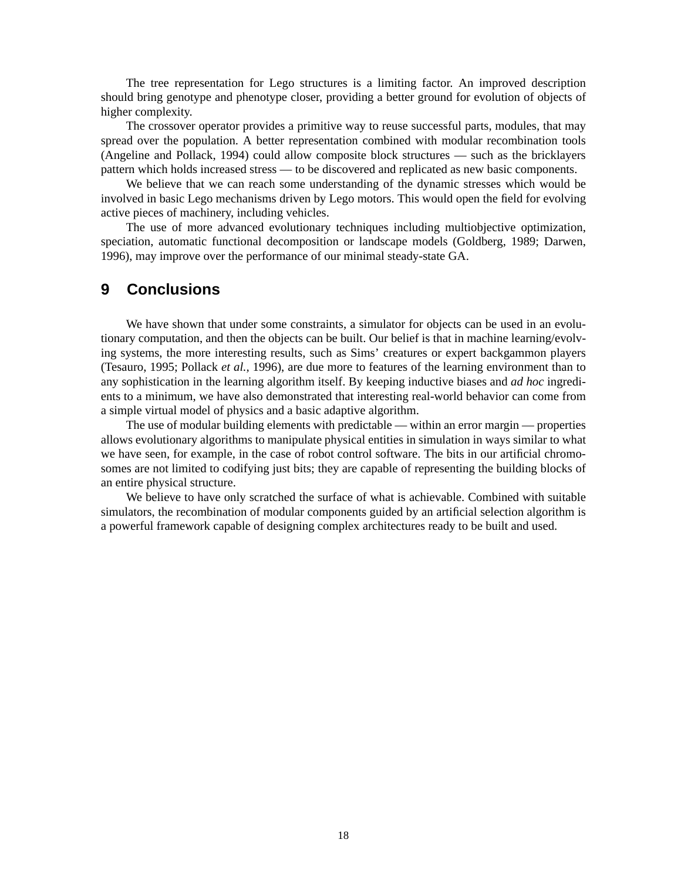The tree representation for Lego structures is a limiting factor. An improved description should bring genotype and phenotype closer, providing a better ground for evolution of objects of higher complexity.

The crossover operator provides a primitive way to reuse successful parts, modules, that may spread over the population. A better representation combined with modular recombination tools (Angeline and Pollack, 1994) could allow composite block structures — such as the bricklayers pattern which holds increased stress — to be discovered and replicated as new basic components.

We believe that we can reach some understanding of the dynamic stresses which would be involved in basic Lego mechanisms driven by Lego motors. This would open the field for evolving active pieces of machinery, including vehicles.

The use of more advanced evolutionary techniques including multiobjective optimization, speciation, automatic functional decomposition or landscape models (Goldberg, 1989; Darwen, 1996), may improve over the performance of our minimal steady-state GA.

# **9 Conclusions**

We have shown that under some constraints, a simulator for objects can be used in an evolutionary computation, and then the objects can be built. Our belief is that in machine learning/evolving systems, the more interesting results, such as Sims' creatures or expert backgammon players (Tesauro, 1995; Pollack *et al.,* 1996), are due more to features of the learning environment than to any sophistication in the learning algorithm itself. By keeping inductive biases and *ad hoc* ingredients to a minimum, we have also demonstrated that interesting real-world behavior can come from a simple virtual model of physics and a basic adaptive algorithm.

The use of modular building elements with predictable — within an error margin — properties allows evolutionary algorithms to manipulate physical entities in simulation in ways similar to what we have seen, for example, in the case of robot control software. The bits in our artificial chromosomes are not limited to codifying just bits; they are capable of representing the building blocks of an entire physical structure.

We believe to have only scratched the surface of what is achievable. Combined with suitable simulators, the recombination of modular components guided by an artificial selection algorithm is a powerful framework capable of designing complex architectures ready to be built and used.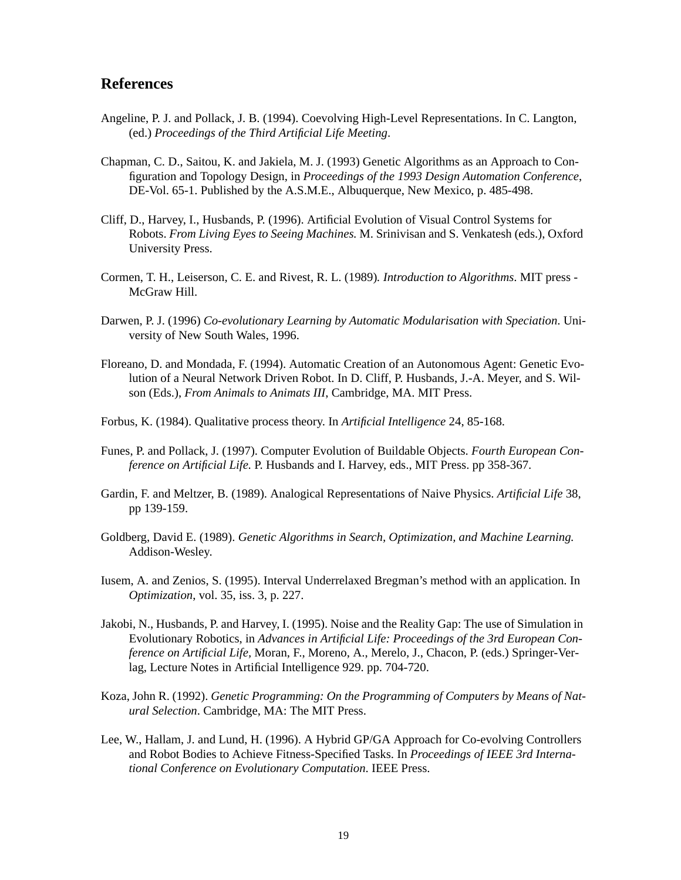# **References**

- Angeline, P. J. and Pollack, J. B. (1994). Coevolving High-Level Representations. In C. Langton, (ed.) *Proceedings of the Third Artificial Life Meeting*.
- Chapman, C. D., Saitou, K. and Jakiela, M. J. (1993) Genetic Algorithms as an Approach to Configuration and Topology Design, in *Proceedings of the 1993 Design Automation Conference*, DE-Vol. 65-1. Published by the A.S.M.E., Albuquerque, New Mexico, p. 485-498.
- Cliff, D., Harvey, I., Husbands, P. (1996). Artificial Evolution of Visual Control Systems for Robots. *From Living Eyes to Seeing Machines.* M. Srinivisan and S. Venkatesh (eds.), Oxford University Press.
- Cormen, T. H., Leiserson, C. E. and Rivest, R. L. (1989)*. Introduction to Algorithms*. MIT press McGraw Hill.
- Darwen, P. J. (1996) *Co-evolutionary Learning by Automatic Modularisation with Speciation*. University of New South Wales, 1996.
- Floreano, D. and Mondada, F. (1994). Automatic Creation of an Autonomous Agent: Genetic Evolution of a Neural Network Driven Robot. In D. Cliff, P. Husbands, J.-A. Meyer, and S. Wilson (Eds.), *From Animals to Animats III*, Cambridge, MA. MIT Press.
- Forbus, K. (1984). Qualitative process theory. In *Artificial Intelligence* 24, 85-168.
- Funes, P. and Pollack, J. (1997). Computer Evolution of Buildable Objects. *Fourth European Conference on Artificial Life.* P. Husbands and I. Harvey, eds., MIT Press. pp 358-367.
- Gardin, F. and Meltzer, B. (1989). Analogical Representations of Naive Physics. *Artificial Life* 38, pp 139-159.
- Goldberg, David E. (1989). *Genetic Algorithms in Search, Optimization, and Machine Learning.* Addison-Wesley.
- Iusem, A. and Zenios, S. (1995). Interval Underrelaxed Bregman's method with an application. In *Optimization*, vol. 35, iss. 3, p. 227.
- Jakobi, N., Husbands, P. and Harvey, I. (1995). Noise and the Reality Gap: The use of Simulation in Evolutionary Robotics, in *Advances in Artificial Life: Proceedings of the 3rd European Conference on Artificial Life,* Moran, F., Moreno, A., Merelo, J., Chacon, P. (eds.) Springer-Verlag, Lecture Notes in Artificial Intelligence 929. pp. 704-720.
- Koza, John R. (1992). *Genetic Programming: On the Programming of Computers by Means of Natural Selection*. Cambridge, MA: The MIT Press.
- Lee, W., Hallam, J. and Lund, H. (1996). A Hybrid GP/GA Approach for Co-evolving Controllers and Robot Bodies to Achieve Fitness-Specified Tasks. In *Proceedings of IEEE 3rd International Conference on Evolutionary Computation*. IEEE Press.